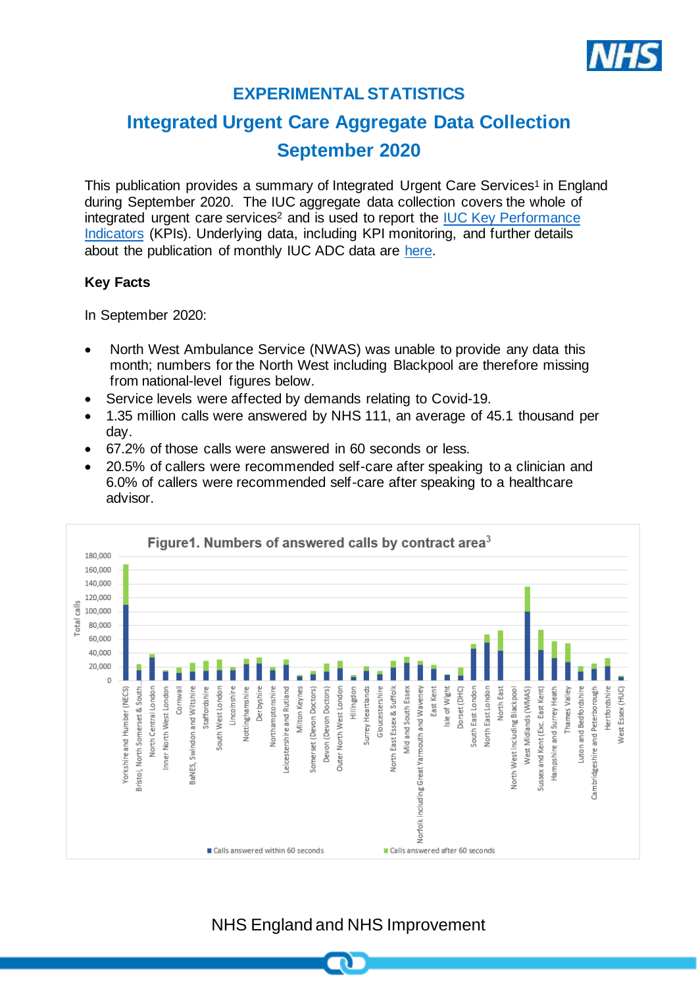

# **EXPERIMENTAL STATISTICS**

# **Integrated Urgent Care Aggregate Data Collection September 2020**

This publication provides a summary of Integrated Urgent Care Services<sup>1</sup> in England during September 2020. The IUC aggregate data collection covers the whole of integrated urgent care services<sup>2</sup> and is used to report the IUC Key Performance [Indicators](https://www.england.nhs.uk/publication/integrated-urgent-care-key-performance-indicators-and-quality-standards-2018/) (KPIs). Underlying data, including KPI monitoring, and further details about the publication of monthly IUC ADC data are [here.](https://www.england.nhs.uk/statistics/statistical-work-areas/nhs-111-minimum-data-set/integrated-urgent-care-aggregate-data-collection-iuc-adc/)

## **Key Facts**

In September 2020:

- North West Ambulance Service (NWAS) was unable to provide any data this month; numbers for the North West including Blackpool are therefore missing from national-level figures below.
- Service levels were affected by demands relating to Covid-19.
- 1.35 million calls were answered by NHS 111, an average of 45.1 thousand per day.
- 67.2% of those calls were answered in 60 seconds or less.
- 20.5% of callers were recommended self-care after speaking to a clinician and 6.0% of callers were recommended self-care after speaking to a healthcare advisor.



# NHS England and NHS Improvement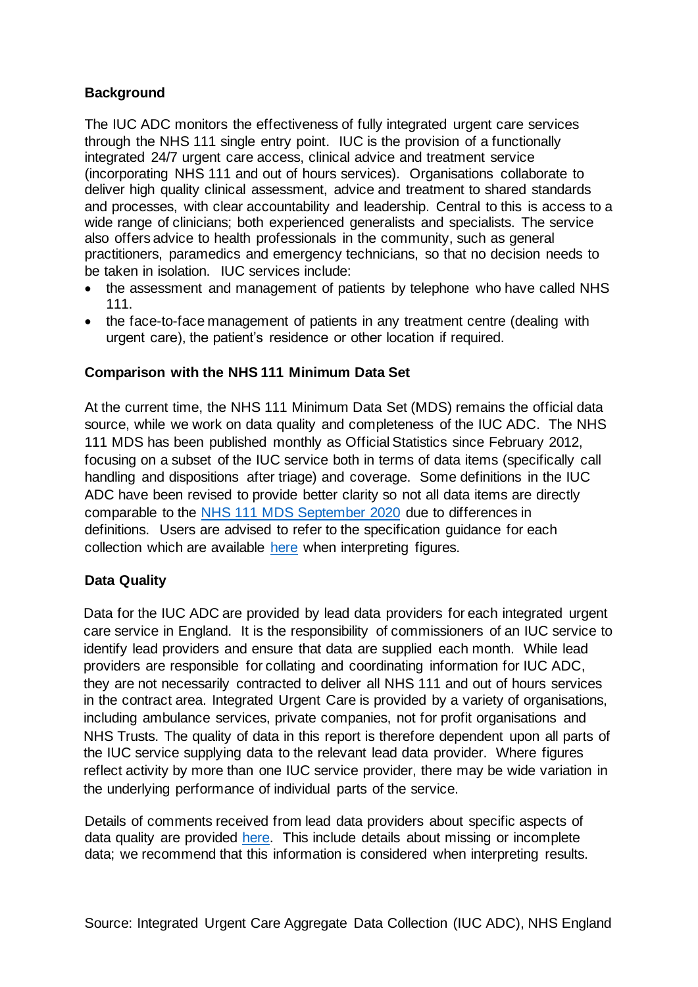#### **Background**

The IUC ADC monitors the effectiveness of fully integrated urgent care services through the NHS 111 single entry point. IUC is the provision of a functionally integrated 24/7 urgent care access, clinical advice and treatment service (incorporating NHS 111 and out of hours services). Organisations collaborate to deliver high quality clinical assessment, advice and treatment to shared standards and processes, with clear accountability and leadership. Central to this is access to a wide range of clinicians; both experienced generalists and specialists. The service also offers advice to health professionals in the community, such as general practitioners, paramedics and emergency technicians, so that no decision needs to be taken in isolation. IUC services include:

- the assessment and management of patients by telephone who have called NHS 111.
- the face-to-face management of patients in any treatment centre (dealing with urgent care), the patient's residence or other location if required.

## **Comparison with the NHS 111 Minimum Data Set**

At the current time, the NHS 111 Minimum Data Set (MDS) remains the official data source, while we work on data quality and completeness of the IUC ADC. The NHS 111 MDS has been published monthly as Official Statistics since February 2012, focusing on a subset of the IUC service both in terms of data items (specifically call handling and dispositions after triage) and coverage. Some definitions in the IUC ADC have been revised to provide better clarity so not all data items are directly comparable to the [NHS 111 MDS September](https://www.england.nhs.uk/statistics/wp-content/uploads/sites/2/2020/10/NHS-111-MDS-Oct-2020-Statistical-Note.pdf) 2020 due to differences in definitions. Users are advised to refer to the specification guidance for each collection which are available [here](https://www.england.nhs.uk/statistics/statistical-work-areas/nhs-111-minimum-data-set/integrated-urgent-care-aggregate-data-collection-iuc-adc/) when interpreting figures.

## **Data Quality**

Data for the IUC ADC are provided by lead data providers for each integrated urgent care service in England. It is the responsibility of commissioners of an IUC service to identify lead providers and ensure that data are supplied each month. While lead providers are responsible for collating and coordinating information for IUC ADC, they are not necessarily contracted to deliver all NHS 111 and out of hours services in the contract area. Integrated Urgent Care is provided by a variety of organisations, including ambulance services, private companies, not for profit organisations and NHS Trusts. The quality of data in this report is therefore dependent upon all parts of the IUC service supplying data to the relevant lead data provider. Where figures reflect activity by more than one IUC service provider, there may be wide variation in the underlying performance of individual parts of the service.

Details of comments received from lead data providers about specific aspects of data quality are provided [here.](https://www.england.nhs.uk/statistics/statistical-work-areas/nhs-111-minimum-data-set/integrated-urgent-care-aggregate-data-collection-iuc-adc/) This include details about missing or incomplete data; we recommend that this information is considered when interpreting results.